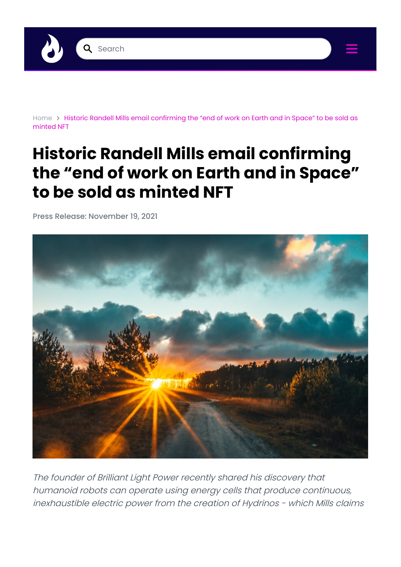

Home > Historic Randell Mills email confirming the "end of work on Earth and in Space" to be sold as minted NFT

# **Historic Randell Mills email confirming the "end of work on Earth and in Space" to be sold as minted NFT**

Press Release: November 19, 2021



The founder of Brilliant Light Power recently shared his discovery that humanoid robots can operate using energy cells that produce continuous, inexhaustible electric power from the creation of Hydrinos - which Mills claims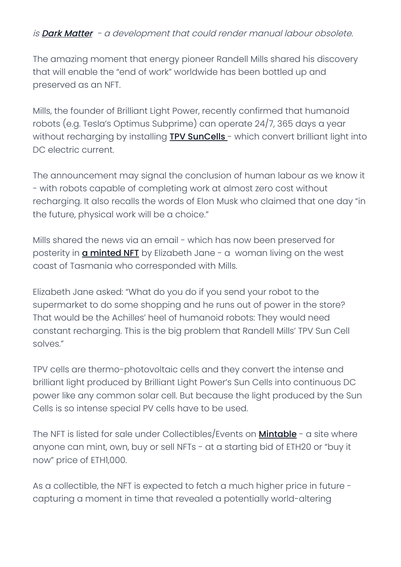#### is **Dark Matter** - a development that could render manual labour obsolete.

The amazing moment that energy pioneer Randell Mills shared his discovery that will enable the "end of work" worldwide has been bottled up and preserved as an NFT.

Mills, the founder of Brilliant Light Power, recently confirmed that humanoid robots (e.g. Tesla's Optimus Subprime) can operate 24/7, 365 days a year without recharging by installing **TPV SunCells** - which convert brilliant light into DC electric current.

The announcement may signal the conclusion of human labour as we know it - with robots capable of completing work at almost zero cost without recharging. It also recalls the words of Elon Musk who claimed that one day "in the future, physical work will be a choice."

Mills shared the news via an email - which has now been preserved for posterity in **a minted NFT** by Elizabeth Jane - a woman living on the west coast of Tasmania who corresponded with Mills.

Elizabeth Jane asked: "What do you do if you send your robot to the supermarket to do some shopping and he runs out of power in the store? That would be the Achilles' heel of humanoid robots: They would need constant recharging. This is the big problem that Randell Mills' TPV Sun Cell solves."

TPV cells are thermo-photovoltaic cells and they convert the intense and brilliant light produced by Brilliant Light Power's Sun Cells into continuous DC power like any common solar cell. But because the light produced by the Sun Cells is so intense special PV cells have to be used.

The NFT is listed for sale under Collectibles/Events on **Mintable** - a site where anyone can mint, own, buy or sell NFTs - at a starting bid of ETH20 or "buy it now" price of ETH1,000.

As a collectible, the NFT is expected to fetch a much higher price in future capturing a moment in time that revealed a potentially world-altering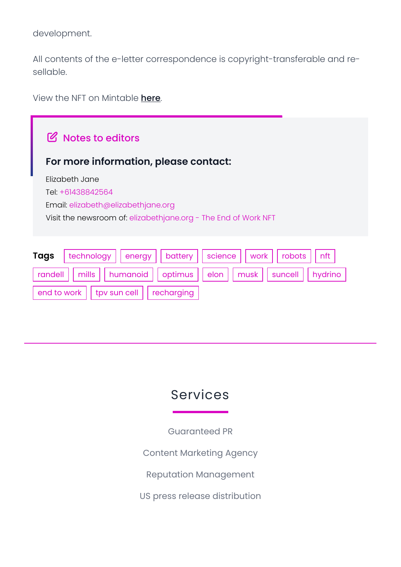development.

All contents of the e-letter correspondence is copyright-transferable and resellable.

View the NFT on Mintable here.

end to work  $\vert \vert$  tpv sun cell  $\vert \vert$  recharging

# **Tags** | technology || energy || battery || science || work || robots || nft randell | | mills | | humanoid | | optimus | | elon | | musk | | suncell | | hydrino **IG** Notes to editors **For more information, please contact:** Elizabeth Jane Tel: +61438842564 Email: elizabeth@elizabethjane.org Visit the newsroom of: elizabethjane.org - The End of Work NFT

### Services

Guaranteed PR

Content Marketing Agency

Reputation Management

US press release distribution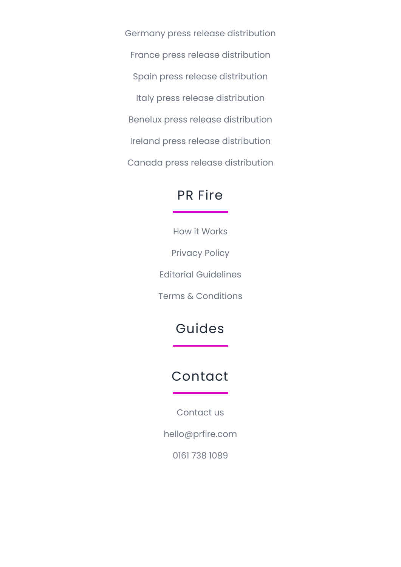Germany press release distribution France press release distribution Spain press release distribution Italy press release distribution Benelux press release distribution Ireland press release distribution Canada press release distribution

#### PR Fire

How it Works Privacy Policy Editorial Guidelines Terms & Conditions

### Guides

### Contact

Contact us

hello@prfire.com

0161 738 1089